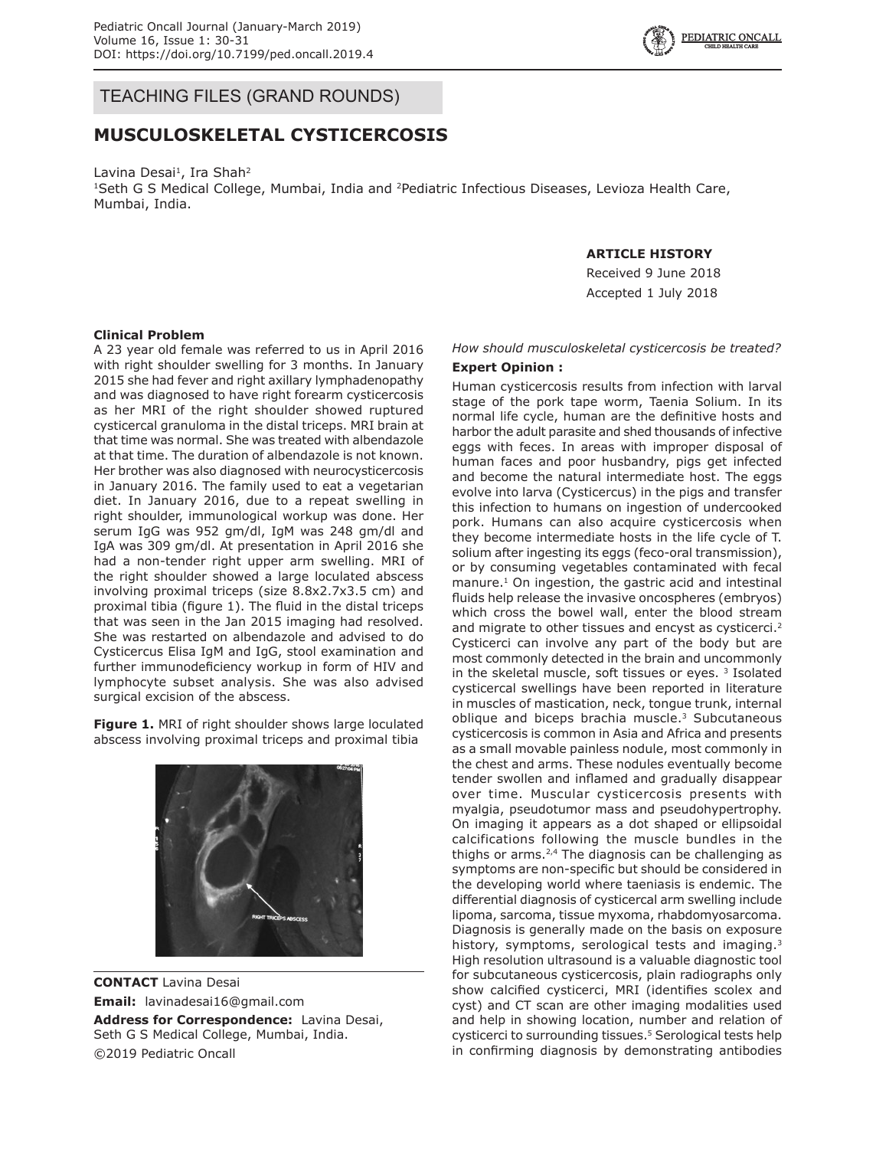

## TEACHING FILES (GRAND ROUNDS)

# **MUSCULOSKELETAL CYSTICERCOSIS**

Lavina Desai<sup>1</sup>, Ira Shah<sup>2</sup> <sup>1</sup>Seth G S Medical College, Mumbai, India and <sup>2</sup>Pediatric Infectious Diseases, Levioza Health Care, Mumbai, India.

### **ARTICLE HISTORY**

Received 9 June 2018 Accepted 1 July 2018

#### **Clinical Problem**

A 23 year old female was referred to us in April 2016 with right shoulder swelling for 3 months. In January 2015 she had fever and right axillary lymphadenopathy and was diagnosed to have right forearm cysticercosis as her MRI of the right shoulder showed ruptured cysticercal granuloma in the distal triceps. MRI brain at that time was normal. She was treated with albendazole at that time. The duration of albendazole is not known. Her brother was also diagnosed with neurocysticercosis in January 2016. The family used to eat a vegetarian diet. In January 2016, due to a repeat swelling in right shoulder, immunological workup was done. Her serum IgG was 952 gm/dl, IgM was 248 gm/dl and IgA was 309 gm/dl. At presentation in April 2016 she had a non-tender right upper arm swelling. MRI of the right shoulder showed a large loculated abscess involving proximal triceps (size 8.8x2.7x3.5 cm) and proximal tibia (figure 1). The fluid in the distal triceps that was seen in the Jan 2015 imaging had resolved. She was restarted on albendazole and advised to do Cysticercus Elisa IgM and IgG, stool examination and further immunodeficiency workup in form of HIV and lymphocyte subset analysis. She was also advised surgical excision of the abscess.

**Figure 1.** MRI of right shoulder shows large loculated abscess involving proximal triceps and proximal tibia



**CONTACT** Lavina Desai **Email:** lavinadesai16@gmail.com **Address for Correspondence:** Lavina Desai,

Seth G S Medical College, Mumbai, India. ©2019 Pediatric Oncall

## *How should musculoskeletal cysticercosis be treated?*

#### **Expert Opinion :**

Human cysticercosis results from infection with larval stage of the pork tape worm, Taenia Solium. In its normal life cycle, human are the definitive hosts and harbor the adult parasite and shed thousands of infective eggs with feces. In areas with improper disposal of human faces and poor husbandry, pigs get infected and become the natural intermediate host. The eggs evolve into larva (Cysticercus) in the pigs and transfer this infection to humans on ingestion of undercooked pork. Humans can also acquire cysticercosis when they become intermediate hosts in the life cycle of T. solium after ingesting its eggs (feco-oral transmission), or by consuming vegetables contaminated with fecal manure.1 On ingestion, the gastric acid and intestinal fluids help release the invasive oncospheres (embryos) which cross the bowel wall, enter the blood stream and migrate to other tissues and encyst as cysticerci.<sup>2</sup> Cysticerci can involve any part of the body but are most commonly detected in the brain and uncommonly in the skeletal muscle, soft tissues or eyes.  $3$  Isolated cysticercal swellings have been reported in literature in muscles of mastication, neck, tongue trunk, internal oblique and biceps brachia muscle.<sup>3</sup> Subcutaneous cysticercosis is common in Asia and Africa and presents as a small movable painless nodule, most commonly in the chest and arms. These nodules eventually become tender swollen and inflamed and gradually disappear over time. Muscular cysticercosis presents with myalgia, pseudotumor mass and pseudohypertrophy. On imaging it appears as a dot shaped or ellipsoidal calcifications following the muscle bundles in the thighs or arms. $2,4$  The diagnosis can be challenging as symptoms are non-specific but should be considered in the developing world where taeniasis is endemic. The differential diagnosis of cysticercal arm swelling include lipoma, sarcoma, tissue myxoma, rhabdomyosarcoma. Diagnosis is generally made on the basis on exposure history, symptoms, serological tests and imaging.<sup>3</sup> High resolution ultrasound is a valuable diagnostic tool for subcutaneous cysticercosis, plain radiographs only show calcified cysticerci, MRI (identifies scolex and cyst) and CT scan are other imaging modalities used and help in showing location, number and relation of cysticerci to surrounding tissues.<sup>5</sup> Serological tests help in confirming diagnosis by demonstrating antibodies